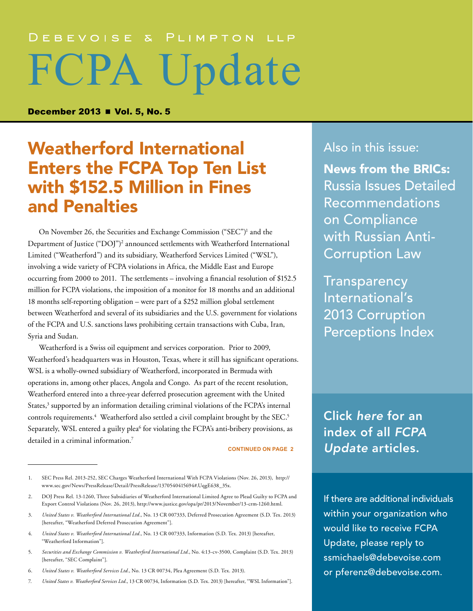# DEBEVOISE & PLIMPTON LLP FCPA Update

December 2013 **■ Vol. 5, No. 5** 

## Weatherford International Enters the FCPA Top Ten List with \$152.5 Million in Fines and Penalties

On November 26, the Securities and Exchange Commission ("SEC")<sup>1</sup> and the Department of Justice ("DOJ")<sup>2</sup> announced settlements with Weatherford International Limited ("Weatherford") and its subsidiary, Weatherford Services Limited ("WSL"), involving a wide variety of FCPA violations in Africa, the Middle East and Europe occurring from 2000 to 2011. The settlements – involving a financial resolution of \$152.5 million for FCPA violations, the imposition of a monitor for 18 months and an additional 18 months self-reporting obligation – were part of a \$252 million global settlement between Weatherford and several of its subsidiaries and the U.S. government for violations of the FCPA and U.S. sanctions laws prohibiting certain transactions with Cuba, Iran, Syria and Sudan.

Weatherford is a Swiss oil equipment and services corporation. Prior to 2009, Weatherford's headquarters was in Houston, Texas, where it still has significant operations. WSL is a wholly-owned subsidiary of Weatherford, incorporated in Bermuda with operations in, among other places, Angola and Congo. As part of the recent resolution, Weatherford entered into a three-year deferred prosecution agreement with the United States,<sup>3</sup> supported by an information detailing criminal violations of the FCPA's internal controls requirements.<sup>4</sup> Weatherford also settled a civil complaint brought by the SEC.<sup>5</sup> Separately, WSL entered a guilty plea<sup>6</sup> for violating the FCPA's anti-bribery provisions, as detailed in a criminal information.<sup>7</sup>

**CONTINUED ON PAGE 2**

- 4. *United States v. Weatherford International Ltd.*, No. 13 CR 007333, Information (S.D. Tex. 2013) [hereafter, "Weatherford Information"].
- 5. *Securities and Exchange Commission v. Weatherford International Ltd.*, No. 4:13-cv-3500, Complaint (S.D. Tex. 2013) [hereafter, "SEC Complaint"].
- 6. *United States v. Weatherford Services Ltd.*, No. 13 CR 00734, Plea Agreement (S.D. Tex. 2013).
- 7. *United States v. Weatherford Services Ltd.*, 13 CR 00734, Information (S.D. Tex. 2013) [hereafter, "WSL Information"].

Also in this issue:

[News from the BRICs:](#page-6-0) [Russia Issues Detailed](#page-6-0)  [Recommendations](#page-6-0)  [on Compliance](#page-6-0)  [with Russian Anti-](#page-6-0)[Corruption Law](#page-6-0)

**Transparency** [International's](#page-8-0)  [2013 Corruption](#page-8-0)  [Perceptions Index](#page-8-0) 

Click *here* [for an](http://www.debevoise.com/publications/FCPA_Index.pdf)  [index of all](http://www.debevoise.com/fcpa-update-10-30-2013/) *FCPA Update* [articles.](http://www.debevoise.com/publications/FCPA_Index.pdf)

If there are additional individuals within your organization who would like to receive FCPA Update, please reply to [ssmichaels@debevoise.com](mailto:ssmichaels@debevoise.com)  or [pferenz@debevoise.com.](mailto:pferenz@debevoise.com)

<sup>1.</sup> SEC Press Rel. 2013-252, SEC Charges Weatherford International With FCPA Violations (Nov. 26, 2013), [http://](http://www.sec.gov/News/PressRelease/Detail/PressRelease/1370540415694%23.UqgE638_35x) [www.sec.gov/News/PressRelease/Detail/PressRelease/1370540415694#.UqgE638\\_35x.](http://www.sec.gov/News/PressRelease/Detail/PressRelease/1370540415694%23.UqgE638_35x)

<sup>2.</sup> DOJ Press Rel. 13-1260, Three Subsidiaries of Weatherford International Limited Agree to Plead Guilty to FCPA and Export Control Violations (Nov. 26, 2013),<http://www.justice.gov/opa/pr/2013/November/13-crm-1260.html>.

<sup>3.</sup> *United States v. Weatherford International Ltd.*, No. 13 CR 007333, Deferred Prosecution Agreement (S.D. Tex. 2013) [hereafter, "Weatherford Deferred Prosecution Agreement"].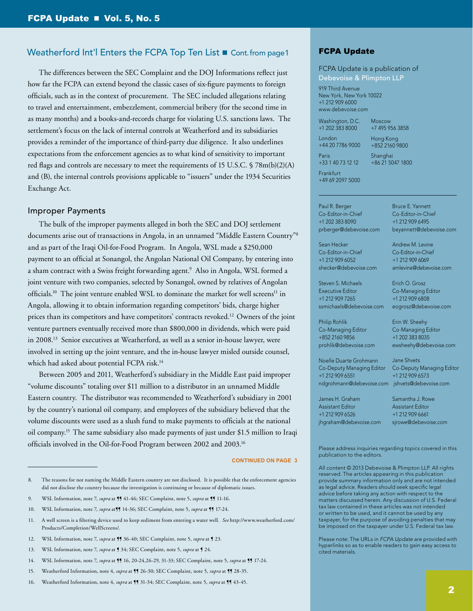#### Weatherford Int'l Enters the FCPA Top Ten List Cont. from page 1

The differences between the SEC Complaint and the DOJ Informations reflect just how far the FCPA can extend beyond the classic cases of six-figure payments to foreign officials, such as in the context of procurement. The SEC included allegations relating to travel and entertainment, embezzlement, commercial bribery (for the second time in as many months) and a books-and-records charge for violating U.S. sanctions laws. The settlement's focus on the lack of internal controls at Weatherford and its subsidiaries provides a reminder of the importance of third-party due diligence. It also underlines expectations from the enforcement agencies as to what kind of sensitivity to important red flags and controls are necessary to meet the requirements of 15 U.S.C. § 78m(b)(2)(A) and (B), the internal controls provisions applicable to "issuers" under the 1934 Securities Exchange Act.

#### Improper Payments

The bulk of the improper payments alleged in both the SEC and DOJ settlement documents arise out of transactions in Angola, in an unnamed "Middle Eastern Country"8 and as part of the Iraqi Oil-for-Food Program. In Angola, WSL made a \$250,000 payment to an official at Sonangol, the Angolan National Oil Company, by entering into a sham contract with a Swiss freight forwarding agent.<sup>9</sup> Also in Angola, WSL formed a joint venture with two companies, selected by Sonangol, owned by relatives of Angolan officials.<sup>10</sup> The joint venture enabled WSL to dominate the market for well screens<sup>11</sup> in Angola, allowing it to obtain information regarding competitors' bids, charge higher prices than its competitors and have competitors' contracts revoked.12 Owners of the joint venture partners eventually received more than \$800,000 in dividends, which were paid in 2008.13 Senior executives at Weatherford, as well as a senior in-house lawyer, were involved in setting up the joint venture, and the in-house lawyer misled outside counsel, which had asked about potential FCPA risk.<sup>14</sup>

Between 2005 and 2011, Weatherford's subsidiary in the Middle East paid improper "volume discounts" totaling over \$11 million to a distributor in an unnamed Middle Eastern country. The distributor was recommended to Weatherford's subsidiary in 2001 by the country's national oil company, and employees of the subsidiary believed that the volume discounts were used as a slush fund to make payments to officials at the national oil company.15 The same subsidiary also made payments of just under \$1.5 million to Iraqi officials involved in the Oil-for-Food Program between 2002 and 2003.16

#### **CONTINUED ON PAGE 3**

9. WSL Information, note 7, *supra* at **[**] 41-46; SEC Complaint, note 5, *supra* at **[**] 11-16.

- 11. A well screen is a filtering device used to keep sediment from entering a water well. *See* [http://www.weatherford.com/](http://www.weatherford.com/Products/Completion/WellScreens/) [Products/Completion/WellScreens/.](http://www.weatherford.com/Products/Completion/WellScreens/)
- 12. WSL Information, note 7, *supra* at **[\$** 36-40; SEC Complaint, note 5, *supra* at **[** 23.
- 13. WSL Information, note 7, *supra* at ¶ 34; SEC Complaint, note 5, *supra* at ¶ 24.
- 14. WSL Information, note 7, *supra* at ¶¶ 16, 20-24,26-29, 31-33; SEC Complaint, note 5, *supra* at ¶¶ 17-24.
- 15. Weatherford Information, note 4, *supra* at **[**] 26-30; SEC Complaint, note 5, *supra* at **[**] 28-35.
- 16. Weatherford Information, note 4, *supra* at **[**] 31-34; SEC Complaint, note 5, *supra* at **[**] 43-45.

#### FCPA Update

FCPA Update is a publication of Debevoise & Plimpton LLP

919 Third Avenue New York, New York 10022 +1 212 909 6000 www.debevoise.com

+1 202 383 8000 London +44 20 7786 9000

Paris

Washington, D.C.

+7 495 956 3858 Hong Kong +852 2160 9800

+33 1 40 73 12 12 Shanghai

Moscow

Bruce E. Yannett Co-Editor-in-Chief +1 212 909 6495 beyannett@debevoise.com

Andrew M. Levine Co-Editor-in-Chief +1 212 909 6069 amlevine@debevoise.com

Erich O. Grosz Co-Managing Editor +1 212 909 6808 eogrosz@debevoise.com

Erin W. Sheehy Co-Managing Editor +1 202 383 8035 ewsheehy@debevoise.com

+86 21 5047 1800

Frankfurt +49 69 2097 5000

Paul R. Berger Co-Editor-in-Chief +1 202 383 8090 prberger@debevoise.com

Sean Hecker Co-Editor-in-Chief +1 212 909 6052 shecker@debevoise.com

Steven S. Michaels Executive Editor +1 212 909 7265 ssmichaels@debevoise.com

Philip Rohlik Co-Managing Editor +852 2160 9856 prohlik@debevoise.com

Noelle Duarte Grohmann Co-Deputy Managing Editor +1 212 909 6551 ndgrohmann@debevoise.com [jshvets@debevoise.com](mailto:jshvets%40debevoise.com?subject=)

Jane Shvets Co-Deputy Managing Editor +1 212 909 6573

James H. Graham Assistant Editor +1 212 909 6526 jhgraham@debevoise.com Samantha J. Rowe Assistant Editor +1 212 909 6661 sirowe@debevoise.com

Please address inquiries regarding topics covered in this publication to the editors.

All content © 2013 Debevoise & Plimpton LLP. All rights reserved. The articles appearing in this publication provide summary information only and are not intended as legal advice. Readers should seek specific legal advice before taking any action with respect to the matters discussed herein. Any discussion of U.S. Federal tax law contained in these articles was not intended or written to be used, and it cannot be used by any taxpayer, for the purpose of avoiding penalties that may be imposed on the taxpayer under U.S. Federal tax law.

Please note: The URLs in *FCPA Update* are provided with hyperlinks so as to enable readers to gain easy access to cited materials.

<sup>8.</sup> The reasons for not naming the Middle Eastern country are not disclosed. It is possible that the enforcement agencies did not disclose the country because the investigation is continuing or because of diplomatic issues.

<sup>10.</sup> WSL Information, note 7, *supra* at 114-36; SEC Complaint, note 5, *supra* at 117-24.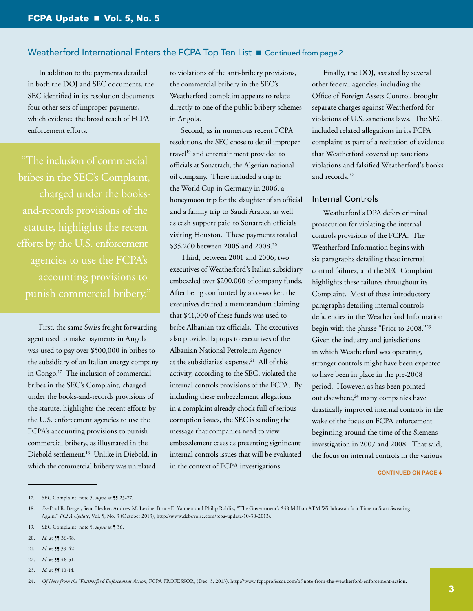In addition to the payments detailed in both the DOJ and SEC documents, the SEC identified in its resolution documents four other sets of improper payments, which evidence the broad reach of FCPA enforcement efforts.

 "The inclusion of commercial bribes in the SEC's Complaint, charged under the books statute, highlights the recent efforts by the U.S. enforcement agencies to use the FCPA's punish commercial bribery."

First, the same Swiss freight forwarding agent used to make payments in Angola was used to pay over \$500,000 in bribes to the subsidiary of an Italian energy company in Congo.<sup>17</sup> The inclusion of commercial bribes in the SEC's Complaint, charged under the books-and-records provisions of the statute, highlights the recent efforts by the U.S. enforcement agencies to use the FCPA's accounting provisions to punish commercial bribery, as illustrated in the Diebold settlement.18 Unlike in Diebold, in which the commercial bribery was unrelated

to violations of the anti-bribery provisions, the commercial bribery in the SEC's Weatherford complaint appears to relate directly to one of the public bribery schemes in Angola.

Second, as in numerous recent FCPA resolutions, the SEC chose to detail improper travel<sup>19</sup> and entertainment provided to officials at Sonatrach, the Algerian national oil company. These included a trip to the World Cup in Germany in 2006, a honeymoon trip for the daughter of an official and a family trip to Saudi Arabia, as well as cash support paid to Sonatrach officials visiting Houston. These payments totaled \$35,260 between 2005 and 2008.20

Third, between 2001 and 2006, two executives of Weatherford's Italian subsidiary embezzled over \$200,000 of company funds. After being confronted by a co-worker, the executives drafted a memorandum claiming that \$41,000 of these funds was used to bribe Albanian tax officials. The executives also provided laptops to executives of the Albanian National Petroleum Agency at the subsidiaries' expense.<sup>21</sup> All of this activity, according to the SEC, violated the internal controls provisions of the FCPA. By including these embezzlement allegations in a complaint already chock-full of serious corruption issues, the SEC is sending the message that companies need to view embezzlement cases as presenting significant internal controls issues that will be evaluated in the context of FCPA investigations.

Finally, the DOJ, assisted by several other federal agencies, including the Office of Foreign Assets Control, brought separate charges against Weatherford for violations of U.S. sanctions laws. The SEC included related allegations in its FCPA complaint as part of a recitation of evidence that Weatherford covered up sanctions violations and falsified Weatherford's books and records.22

#### Internal Controls

Weatherford's DPA defers criminal prosecution for violating the internal controls provisions of the FCPA. The Weatherford Information begins with six paragraphs detailing these internal control failures, and the SEC Complaint highlights these failures throughout its Complaint. Most of these introductory paragraphs detailing internal controls deficiencies in the Weatherford Information begin with the phrase "Prior to 2008."23 Given the industry and jurisdictions in which Weatherford was operating, stronger controls might have been expected to have been in place in the pre-2008 period. However, as has been pointed out elsewhere,<sup>24</sup> many companies have drastically improved internal controls in the wake of the focus on FCPA enforcement beginning around the time of the Siemens investigation in 2007 and 2008. That said, the focus on internal controls in the various

- 20. *Id.* at **11** 36-38.
- 21. *Id.* at **11** 39-42.
- 22. *Id.* at **[]** 46-51.
- 23. *Id.* at **11** 10-14.

<sup>17.</sup> SEC Complaint, note 5, *supra* at **11** 25-27.

<sup>18.</sup> *See* Paul R. Berger, Sean Hecker, Andrew M. Levine, Bruce E. Yannett and Philip Rohlik, "The Government's \$48 Million ATM Withdrawal: Is it Time to Start Sweating Again," *FCPA Update*, Vol. 5, No. 3 (October 2013), [http://www.debevoise.com/fcpa-update-10-30-2013/.](http://www.debevoise.com/fcpa-update-10-30-2013/)

<sup>19.</sup> SEC Complaint, note 5, *supra* at ¶ 36.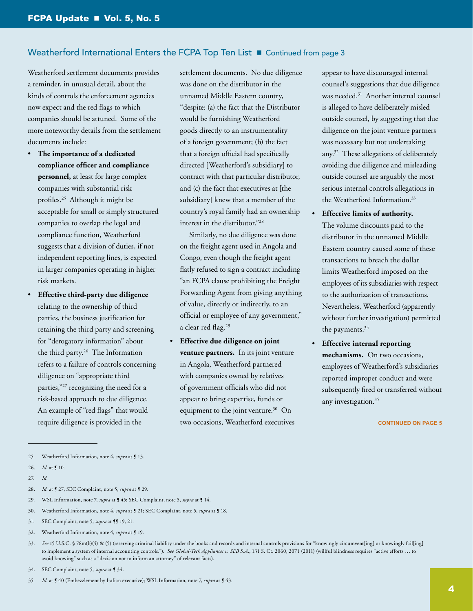Weatherford settlement documents provides a reminder, in unusual detail, about the kinds of controls the enforcement agencies now expect and the red flags to which companies should be attuned. Some of the more noteworthy details from the settlement documents include:

- The importance of a dedicated **compliance officer and compliance personnel,** at least for large complex companies with substantial risk profiles.25 Although it might be acceptable for small or simply structured companies to overlap the legal and compliance function, Weatherford suggests that a division of duties, if not independent reporting lines, is expected in larger companies operating in higher risk markets.
- **Effective third-party due diligence** relating to the ownership of third parties, the business justification for retaining the third party and screening for "derogatory information" about the third party.26 The Information refers to a failure of controls concerning diligence on "appropriate third parties,"27 recognizing the need for a risk-based approach to due diligence. An example of "red flags" that would require diligence is provided in the

settlement documents. No due diligence was done on the distributor in the unnamed Middle Eastern country, "despite: (a) the fact that the Distributor would be furnishing Weatherford goods directly to an instrumentality of a foreign government; (b) the fact that a foreign official had specifically directed [Weatherford's subsidiary] to contract with that particular distributor, and (c) the fact that executives at [the subsidiary] knew that a member of the country's royal family had an ownership interest in the distributor."28

 Similarly, no due diligence was done on the freight agent used in Angola and Congo, even though the freight agent flatly refused to sign a contract including "an FCPA clause prohibiting the Freight Forwarding Agent from giving anything of value, directly or indirectly, to an official or employee of any government," a clear red flag.<sup>29</sup>

**Effective due diligence on joint venture partners.** In its joint venture in Angola, Weatherford partnered with companies owned by relatives of government officials who did not appear to bring expertise, funds or equipment to the joint venture.<sup>30</sup> On two occasions, Weatherford executives appear to have discouraged internal counsel's suggestions that due diligence was needed.31 Another internal counsel is alleged to have deliberately misled outside counsel, by suggesting that due diligence on the joint venture partners was necessary but not undertaking any.32 These allegations of deliberately avoiding due diligence and misleading outside counsel are arguably the most serious internal controls allegations in the Weatherford Information.33

**Effective limits of authority.** The volume discounts paid to the distributor in the unnamed Middle Eastern country caused some of these transactions to breach the dollar limits Weatherford imposed on the employees of its subsidiaries with respect to the authorization of transactions. Nevertheless, Weatherford (apparently without further investigation) permitted the payments.34

**Effective internal reporting mechanisms.** On two occasions, employees of Weatherford's subsidiaries reported improper conduct and were subsequently fired or transferred without any investigation.<sup>35</sup>

- 28. *Id.* at ¶ 27; SEC Complaint, note 5, *supra* at ¶ 29.
- 29. WSL Information, note 7, *supra* at ¶ 45; SEC Complaint, note 5, *supra* at ¶ 14.
- 30. Weatherford Information, note 4, *supra* at ¶ 21; SEC Complaint, note 5, *supra* at ¶ 18.
- 31. SEC Complaint, note 5, *supra* at **[]** 19, 21.
- 32. Weatherford Information, note 4, *supra* at ¶ 19.
- 33. See 15 U.S.C. § 78m(b)(4) & (5) (reserving criminal liability under the books and records and internal controls provisions for "knowingly circumvent[ing] or knowingly fail[ing] to implement a system of internal accounting controls."). *See Global-Tech Appliances v. SEB S.A.*, 131 S. Ct. 2060, 2071 (2011) (willful blindness requires "active efforts … to avoid knowing" such as a "decision not to inform an attorney" of relevant facts).
- 34. SEC Complaint, note 5, *supra* at ¶ 34.
- *Id.* at  $\int$  40 (Embezzlement by Italian executive); WSL Information, note 7, *supra* at  $\int$  43.

<sup>25.</sup> Weatherford Information, note 4, *supra* at **[13.**]

<sup>26.</sup> *Id.* at ¶ 10.

<sup>27.</sup> *Id.*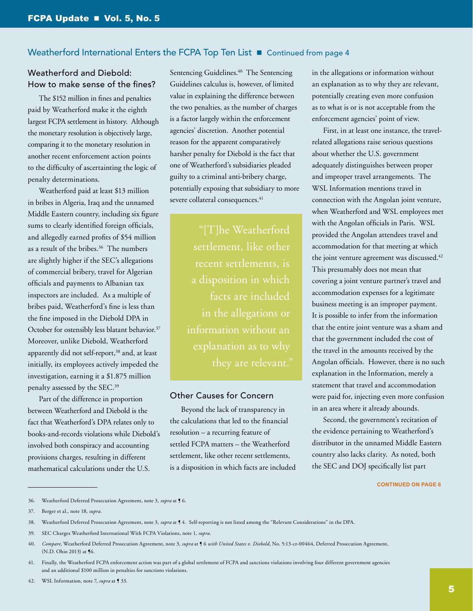#### Weatherford and Diebold: How to make sense of the fines?

The \$152 million in fines and penalties paid by Weatherford make it the eighth largest FCPA settlement in history. Although the monetary resolution is objectively large, comparing it to the monetary resolution in another recent enforcement action points to the difficulty of ascertainting the logic of penalty determinations.

Weatherford paid at least \$13 million in bribes in Algeria, Iraq and the unnamed Middle Eastern country, including six figure sums to clearly identified foreign officials, and allegedly earned profits of \$54 million as a result of the bribes.36 The numbers are slightly higher if the SEC's allegations of commercial bribery, travel for Algerian officials and payments to Albanian tax inspectors are included. As a multiple of bribes paid, Weatherford's fine is less than the fine imposed in the Diebold DPA in October for ostensibly less blatant behavior.<sup>37</sup> Moreover, unlike Diebold, Weatherford apparently did not self-report,<sup>38</sup> and, at least initially, its employees actively impeded the investigation, earning it a \$1.875 million penalty assessed by the SEC.39

Part of the difference in proportion between Weatherford and Diebold is the fact that Weatherford's DPA relates only to books-and-records violations while Diebold's involved both conspiracy and accounting provisions charges, resulting in different mathematical calculations under the U.S.

Sentencing Guidelines.<sup>40</sup> The Sentencing Guidelines calculus is, however, of limited value in explaining the difference between the two penalties, as the number of charges is a factor largely within the enforcement agencies' discretion. Another potential reason for the apparent comparatively harsher penalty for Diebold is the fact that one of Weatherford's subsidiaries pleaded guilty to a criminal anti-bribery charge, potentially exposing that subsidiary to more severe collateral consequences.<sup>41</sup>

> "[T]he Weatherford settlement, like other recent settlements, is a disposition in which facts are included in the allegations or information without an explanation as to why

#### Other Causes for Concern

Beyond the lack of transparency in the calculations that led to the financial resolution – a recurring feature of settled FCPA matters – the Weatherford settlement, like other recent settlements, is a disposition in which facts are included in the allegations or information without an explanation as to why they are relevant, potentially creating even more confusion as to what is or is not acceptable from the enforcement agencies' point of view.

First, in at least one instance, the travelrelated allegations raise serious questions about whether the U.S. government adequately distinguishes between proper and improper travel arrangements. The WSL Information mentions travel in connection with the Angolan joint venture, when Weatherford and WSL employees met with the Angolan officials in Paris. WSL provided the Angolan attendees travel and accommodation for that meeting at which the joint venture agreement was discussed.<sup>42</sup> This presumably does not mean that covering a joint venture partner's travel and accommodation expenses for a legitimate business meeting is an improper payment. It is possible to infer from the information that the entire joint venture was a sham and that the government included the cost of the travel in the amounts received by the Angolan officials. However, there is no such explanation in the Information, merely a statement that travel and accommodation were paid for, injecting even more confusion in an area where it already abounds.

Second, the government's recitation of the evidence pertaining to Weatherford's distributor in the unnamed Middle Eastern country also lacks clarity. As noted, both the SEC and DOJ specifically list part

<sup>36.</sup> Weatherford Deferred Prosecution Agreement, note 3, *supra* at ¶ 6.

<sup>37.</sup> Berger et al., note 18, *supra*.

<sup>38.</sup> Weatherford Deferred Prosecution Agreement, note 3, *supra* at ¶ 4. Self-reporting is not listed among the "Relevant Considerations" in the DPA.

<sup>39.</sup> SEC Charges Weatherford International With FCPA Violations, note 1, *supra*.

<sup>40.</sup> *Compare*, Weatherford Deferred Prosecution Agreement, note 3, *supra* at ¶ 6 *with United States v. Diebold*, No. 5:13-cr-00464, Deferred Prosecution Agreement, (N.D. Ohio 2013) at ¶6.

<sup>41.</sup> Finally, the Weatherford FCPA enforcement action was part of a global settlement of FCPA and sanctions violations involving four different government agencies and an additional \$100 million in penalties for sanctions violations.

<sup>42.</sup> WSL Information, note 7, *supra* at **[33.**]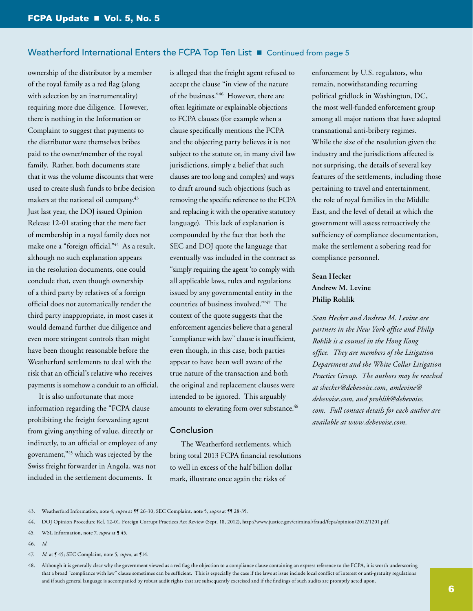ownership of the distributor by a member of the royal family as a red flag (along with selection by an instrumentality) requiring more due diligence. However, there is nothing in the Information or Complaint to suggest that payments to the distributor were themselves bribes paid to the owner/member of the royal family. Rather, both documents state that it was the volume discounts that were used to create slush funds to bribe decision makers at the national oil company.43 Just last year, the DOJ issued Opinion Release 12-01 stating that the mere fact of membership in a royal family does not make one a "foreign official."44 As a result, although no such explanation appears in the resolution documents, one could conclude that, even though ownership of a third party by relatives of a foreign official does not automatically render the third party inappropriate, in most cases it would demand further due diligence and even more stringent controls than might have been thought reasonable before the Weatherford settlements to deal with the risk that an official's relative who receives payments is somehow a conduit to an official.

It is also unfortunate that more information regarding the "FCPA clause prohibiting the freight forwarding agent from giving anything of value, directly or indirectly, to an official or employee of any government,"45 which was rejected by the Swiss freight forwarder in Angola, was not included in the settlement documents. It

is alleged that the freight agent refused to accept the clause "in view of the nature of the business."46 However, there are often legitimate or explainable objections to FCPA clauses (for example when a clause specifically mentions the FCPA and the objecting party believes it is not subject to the statute or, in many civil law jurisdictions, simply a belief that such clauses are too long and complex) and ways to draft around such objections (such as removing the specific reference to the FCPA and replacing it with the operative statutory language). This lack of explanation is compounded by the fact that both the SEC and DOJ quote the language that eventually was included in the contract as "simply requiring the agent 'to comply with all applicable laws, rules and regulations issued by any governmental entity in the countries of business involved.'"47 The context of the quote suggests that the enforcement agencies believe that a general "compliance with law" clause is insufficient, even though, in this case, both parties appear to have been well aware of the true nature of the transaction and both the original and replacement clauses were intended to be ignored. This arguably amounts to elevating form over substance.<sup>48</sup>

#### Conclusion

The Weatherford settlements, which bring total 2013 FCPA financial resolutions to well in excess of the half billion dollar mark, illustrate once again the risks of

enforcement by U.S. regulators, who remain, notwithstanding recurring political gridlock in Washington, DC, the most well-funded enforcement group among all major nations that have adopted transnational anti-bribery regimes. While the size of the resolution given the industry and the jurisdictions affected is not surprising, the details of several key features of the settlements, including those pertaining to travel and entertainment, the role of royal families in the Middle East, and the level of detail at which the government will assess retroactively the sufficiency of compliance documentation, make the settlement a sobering read for compliance personnel.

#### **Sean Hecker Andrew M. Levine Philip Rohlik**

*Sean Hecker and Andrew M. Levine are partners in the New York office and Philip Rohlik is a counsel in the Hong Kong office. They are members of the Litigation Department and the White Collar Litigation Practice Group. The authors may be reached at [shecker@debevoise.com](mailto:shecker%40debevoise.com?subject=), [amlevine@](mailto:amlevine%40debevoise.com?subject=) [debevoise.com,](mailto:amlevine%40debevoise.com?subject=) and [prohlik@debevoise.](mailto:prohlik%40debevoise.com?subject=) [com](mailto:prohlik%40debevoise.com?subject=). Full contact details for each author are available at<www.debevoise.com>.* 

<sup>43.</sup> Weatherford Information, note 4, *supra* at **[**¶ 26-30; SEC Complaint, note 5, *supra* at **[**¶ 28-35.

<sup>44.</sup> DOJ Opinion Procedure Rel. 12-01, Foreign Corrupt Practices Act Review (Sept. 18, 2012), [http://www.justice.gov/criminal/fraud/fcpa/opinion/2012/1201.pdf.](http://www.justice.gov/criminal/fraud/fcpa/opinion/2012/1201.pdf)

<sup>45.</sup> WSL Information, note 7, *supra* at ¶ 45.

<sup>46.</sup> *Id.*

<sup>47.</sup> *Id.* at ¶ 45; SEC Complaint, note 5, *supra*, at ¶14.

<sup>48.</sup> Although it is generally clear why the government viewed as a red flag the objection to a compliance clause containing an express reference to the FCPA, it is worth underscoring that a broad "compliance with law" clause sometimes can be sufficient. This is especially the case if the laws at issue include local conflict of interest or anti-gratuity regulations and if such general language is accompanied by robust audit rights that are subsequently exercised and if the findings of such audits are promptly acted upon.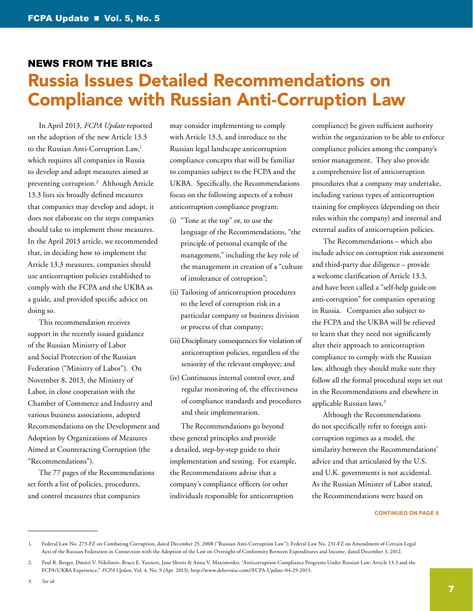## <span id="page-6-0"></span>[News from the BRICs](#page-6-0) [Russia Issues Detailed Recommendations on](#page-6-0)  [Compliance with Russian Anti-Corruption Law](#page-6-0)

In April 2013, *FCPA Update* reported on the adoption of the new Article 13.3 to the Russian Anti-Corruption Law,<sup>1</sup> which requires all companies in Russia to develop and adopt measures aimed at preventing corruption.2 Although Article 13.3 lists six broadly defined measures that companies may develop and adopt, it does not elaborate on the steps companies should take to implement those measures. In the April 2013 article, we recommended that, in deciding how to implement the Article 13.3 measures, companies should use anticorruption policies established to comply with the FCPA and the UKBA as a guide, and provided specific advice on doing so.

This recommendation receives support in the recently issued guidance of the Russian Ministry of Labor and Social Protection of the Russian Federation ("Ministry of Labor"). On November 8, 2013, the Ministry of Labor, in close cooperation with the Chamber of Commerce and Industry and various business associations, adopted Recommendations on the Development and Adoption by Organizations of Measures Aimed at Counteracting Corruption (the "Recommendations").

The 77 pages of the Recommendations set forth a list of policies, procedures, and control measures that companies

may consider implementing to comply with Article 13.3, and introduce to the Russian legal landscape anticorruption compliance concepts that will be familiar to companies subject to the FCPA and the UKBA. Specifically, the Recommendations focus on the following aspects of a robust anticorruption compliance program:

- (i) "Tone at the top" or, to use the language of the Recommendations, "the principle of personal example of the management," including the key role of the management in creation of a "culture of intolerance of corruption";
- (ii) Tailoring of anticorruption procedures to the level of corruption risk in a particular company or business division or process of that company;
- (iii) Disciplinary consequences for violation of anticorruption policies, regardless of the seniority of the relevant employee; and
- (iv) Continuous internal control over, and regular monitoring of, the effectiveness of compliance standards and procedures and their implementation.

The Recommendations go beyond these general principles and provide a detailed, step-by-step guide to their implementation and testing. For example, the Recommendations advise that a company's compliance officers (or other individuals responsible for anticorruption

compliance) be given sufficient authority within the organization to be able to enforce compliance policies among the company's senior management. They also provide a comprehensive list of anticorruption procedures that a company may undertake, including various types of anticorruption training for employees (depending on their roles within the company) and internal and external audits of anticorruption policies.

The Recommendations – which also include advice on corruption risk assessment and third-party due diligence – provide a welcome clarification of Article 13.3, and have been called a "self-help guide on anti-corruption" for companies operating in Russia. Companies also subject to the FCPA and the UKBA will be relieved to learn that they need not significantly alter their approach to anticorruption compliance to comply with the Russian law, although they should make sure they follow all the formal procedural steps set out in the Recommendations and elsewhere in applicable Russian laws.3

Although the Recommendations do not specifically refer to foreign anticorruption regimes as a model, the similarity between the Recommendations' advice and that articulated by the U.S. and U.K. governments is not accidental. As the Russian Minister of Labor stated, the Recommendations were based on

<sup>1.</sup> Federal Law No. 273-FZ on Combating Corruption, dated December 25, 2008 ("Russian Anti-Corruption Law"); Federal Law No. 231-FZ on Amendment of Certain Legal Acts of the Russian Federation in Connection with the Adoption of the Law on Oversight of Conformity Between Expenditures and Income, dated December 3, 2012.

<sup>2.</sup> Paul R. Berger, Dmitri V. Nikiforov, Bruce E. Yannett, Jane Shvets & Anna V. Maximenko, "Anticorruption Compliance Programs Under Russian Law: Article 13.3 and the FCPA/UKBA Experience," *FCPA Update*, Vol. 4, No. 9 (Apr. 2013), [http://www.debevoise.com//FCPA-Update-04-29-2013.](http://www.debevoise.com//FCPA-Update-04-29-2013)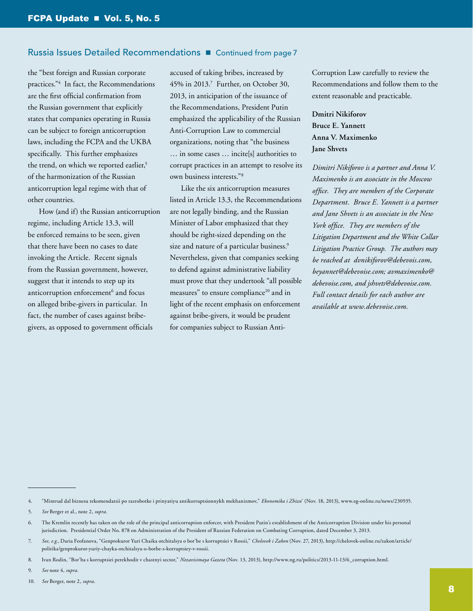#### Russia Issues Detailed Recommendations **n** Continued from page 7

the "best foreign and Russian corporate practices."4 In fact, the Recommendations are the first official confirmation from the Russian government that explicitly states that companies operating in Russia can be subject to foreign anticorruption laws, including the FCPA and the UKBA specifically. This further emphasizes the trend, on which we reported earlier,<sup>5</sup> of the harmonization of the Russian anticorruption legal regime with that of other countries.

How (and if) the Russian anticorruption regime, including Article 13.3, will be enforced remains to be seen, given that there have been no cases to date invoking the Article. Recent signals from the Russian government, however, suggest that it intends to step up its anticorruption enforcement<sup>6</sup> and focus on alleged bribe-givers in particular. In fact, the number of cases against bribegivers, as opposed to government officials

accused of taking bribes, increased by 45% in 2013.7 Further, on October 30, 2013, in anticipation of the issuance of the Recommendations, President Putin emphasized the applicability of the Russian Anti-Corruption Law to commercial organizations, noting that "the business … in some cases … incite[s] authorities to corrupt practices in an attempt to resolve its own business interests."8

Like the six anticorruption measures listed in Article 13.3, the Recommendations are not legally binding, and the Russian Minister of Labor emphasized that they should be right-sized depending on the size and nature of a particular business.<sup>9</sup> Nevertheless, given that companies seeking to defend against administrative liability must prove that they undertook "all possible measures" to ensure compliance<sup>10</sup> and in light of the recent emphasis on enforcement against bribe-givers, it would be prudent for companies subject to Russian AntiCorruption Law carefully to review the Recommendations and follow them to the extent reasonable and practicable.

**Dmitri Nikiforov Bruce E. Yannett Anna V. Maximenko Jane Shvets**

*Dimitri Nikiforov is a partner and Anna V. Maximenko is an associate in the Moscow office. They are members of the Corporate Department. Bruce E. Yannett is a partner and Jane Shvets is an associate in the New York office. They are members of the Litigation Department and the White Collar Litigation Practice Group. The authors may be reached at [dvnikiforov@debevois.com,](mailto:dvnikiforov%40debevois.com?subject=) [beyannet@debevoise.com](mailto:beyannet%40debevoise.com?subject=); [avmaximenko@](mailto:avmaximenko%40debevoise.com?subject=) [debevoise.com](mailto:avmaximenko%40debevoise.com?subject=), and [jshvets@debevoise.com](mailto:jshvets%40debevoise.com?subject=). Full contact details for each author are available at [www.debevoise.com.](www.debevoise.com)* 

9. *See* note 4, *supra*.

<sup>4.</sup> "Mintrud dal biznesu rekomendatsii po razrobotke i prinyatiyu antikorruptsionnykh mekhanizmov," *Ekonomika i Zhizn*' (Nov. 18, 2013), [www.eg-online.ru/news/230935.](www.eg-online.ru/news/230935)

<sup>5.</sup> *See* Berger et al., note 2, *supra*.

<sup>6.</sup> The Kremlin recently has taken on the role of the principal anticorruption enforcer, with President Putin's establishment of the Anticorruption Division under his personal jurisdiction. Presidential Order No. 878 on Administration of the President of Russian Federation on Combating Corruption, dated December 3, 2013.

<sup>7.</sup> *See, e.g.*, Daria Feofanova, "Genprokuror Yuri Chaika otchitalsya o bor'be s korruptsiei v Rossii," *Chelovek i Zakon* (Nov. 27, 2013)[, http://chelovek-online.ru/zakon/article/](%20http://chelovek-online.ru/zakon/article/politika/genprokuror-yuriy-chayka-otchitalsya-o-borbe-s-korruptsiey-v-rossii) [politika/genprokuror-yuriy-chayka-otchitalsya-o-borbe-s-korruptsiey-v-rossii](%20http://chelovek-online.ru/zakon/article/politika/genprokuror-yuriy-chayka-otchitalsya-o-borbe-s-korruptsiey-v-rossii).

<sup>8.</sup> Ivan Rodin, "Bor'ba s korruptsiei perekhodit v chastnyi sector," *Nezavisimaya Gazeta* (Nov. 13, 2013), [http://www.ng.ru/politics/2013-11-13/6\\_corruption.html.](http://www.ng.ru/politics/2013-11-13/6_corruption.html)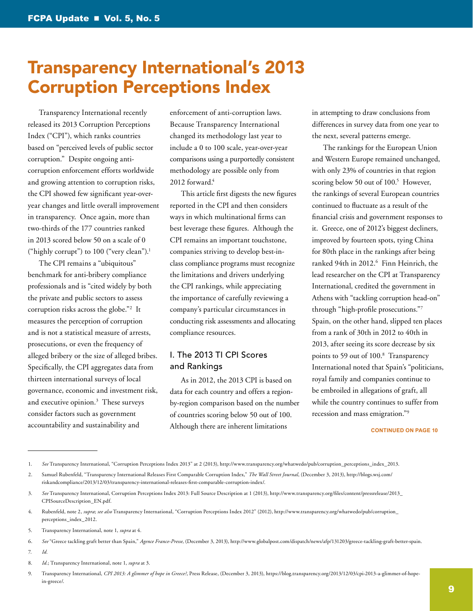## <span id="page-8-0"></span>[Transparency International's 2013](#page-6-0)  [Corruption Perceptions Index](#page-6-0)

Transparency International recently released its 2013 Corruption Perceptions Index ("CPI"), which ranks countries based on "perceived levels of public sector corruption." Despite ongoing anticorruption enforcement efforts worldwide and growing attention to corruption risks, the CPI showed few significant year-overyear changes and little overall improvement in transparency. Once again, more than two-thirds of the 177 countries ranked in 2013 scored below 50 on a scale of 0 ("highly corrupt") to 100 ("very clean").1

The CPI remains a "ubiquitous" benchmark for anti-bribery compliance professionals and is "cited widely by both the private and public sectors to assess corruption risks across the globe."2 It measures the perception of corruption and is not a statistical measure of arrests, prosecutions, or even the frequency of alleged bribery or the size of alleged bribes. Specifically, the CPI aggregates data from thirteen international surveys of local governance, economic and investment risk, and executive opinion.<sup>3</sup> These surveys consider factors such as government accountability and sustainability and

enforcement of anti-corruption laws. Because Transparency International changed its methodology last year to include a 0 to 100 scale, year-over-year comparisons using a purportedly consistent methodology are possible only from  $2012$  forward. $4$ 

This article first digests the new figures reported in the CPI and then considers ways in which multinational firms can best leverage these figures. Although the CPI remains an important touchstone, companies striving to develop best-inclass compliance programs must recognize the limitations and drivers underlying the CPI rankings, while appreciating the importance of carefully reviewing a company's particular circumstances in conducting risk assessments and allocating compliance resources.

#### I. The 2013 TI CPI Scores and Rankings

As in 2012, the 2013 CPI is based on data for each country and offers a regionby-region comparison based on the number of countries scoring below 50 out of 100. Although there are inherent limitations

in attempting to draw conclusions from differences in survey data from one year to the next, several patterns emerge.

The rankings for the European Union and Western Europe remained unchanged, with only 23% of countries in that region scoring below 50 out of 100.<sup>5</sup> However, the rankings of several European countries continued to fluctuate as a result of the financial crisis and government responses to it. Greece, one of 2012's biggest decliners, improved by fourteen spots, tying China for 80th place in the rankings after being ranked 94th in 2012.6 Finn Heinrich, the lead researcher on the CPI at Transparency International, credited the government in Athens with "tackling corruption head-on" through "high-profile prosecutions."7 Spain, on the other hand, slipped ten places from a rank of 30th in 2012 to 40th in 2013, after seeing its score decrease by six points to 59 out of 100.8 Transparency International noted that Spain's "politicians, royal family and companies continue to be embroiled in allegations of graft, all while the country continues to suffer from recession and mass emigration."9

#### **CONTINUED ON PAGE 10**

7. *Id.*

<sup>1.</sup> *See* Transparency International, "Corruption Perceptions Index 2013" at 2 (2013), [http://www.transparency.org/whatwedo/pub/corruption\\_perceptions\\_index\\_2013.](http://www.transparency.org/whatwedo/pub/corruption_perceptions_index_2013)

<sup>2.</sup> Samuel Rubenfeld, "Transparency International Releases First Comparable Corruption Index," *The Wall Street Journal*, (December 3, 2013), [http://blogs.wsj.com/](http://blogs.wsj.com/riskandcompliance/2013/12/03/transparency-international-releases-first-comparable-corruption-index/) [riskandcompliance/2013/12/03/transparency-international-releases-first-comparable-corruption-index/.](http://blogs.wsj.com/riskandcompliance/2013/12/03/transparency-international-releases-first-comparable-corruption-index/)

<sup>3.</sup> *See* Transparency International, Corruption Perceptions Index 2013: Full Source Description at 1 (2013), [http://www.transparency.org/files/content/pressrelease/2013\\_](http://www.transparency.org/files/content/pressrelease/2013_CPISourceDescription_EN.pdf) [CPISourceDescription\\_EN.pdf.](http://www.transparency.org/files/content/pressrelease/2013_CPISourceDescription_EN.pdf)

<sup>4.</sup> Rubenfeld, note 2, *supra*; *see also* Transparency International, "Corruption Perceptions Index 2012" (2012), [http://www.transparency.org/whatwedo/pub/corruption\\_](http://www.transparency.org/whatwedo/pub/corruption_perceptions_index_2012) [perceptions\\_index\\_2012.](http://www.transparency.org/whatwedo/pub/corruption_perceptions_index_2012)

<sup>5.</sup> Transparency International, note 1, *supra* at 4.

<sup>6.</sup> *See* "Greece tackling graft better than Spain," *Agence France-Presse*, (December 3, 2013), [http://www.globalpost.com/dispatch/news/afp/131203/greece-tackling-graft-better-spain.](http://www.globalpost.com/dispatch/news/afp/131203/greece-tackling-graft-better-spain)

<sup>8.</sup> *Id.*; Transparency International, note 1, *supra* at 3.

<sup>9.</sup> Transparency International, *CPI 2013: A glimmer of hope in Greece?*, Press Release, (December 3, 2013), [https://blog.transparency.org/2013/12/03/cpi-2013-a-glimmer-of-hope](https://blog.transparency.org/2013/12/03/cpi-2013-a-glimmer-of-hope-in-greece/)[in-greece/](https://blog.transparency.org/2013/12/03/cpi-2013-a-glimmer-of-hope-in-greece/).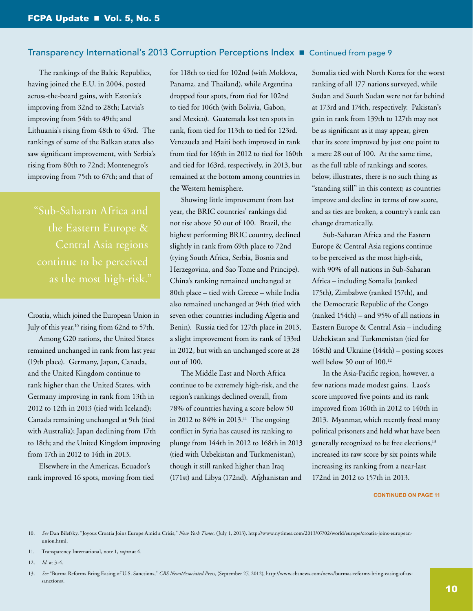The rankings of the Baltic Republics, having joined the E.U. in 2004, posted across-the-board gains, with Estonia's improving from 32nd to 28th; Latvia's improving from 54th to 49th; and Lithuania's rising from 48th to 43rd. The rankings of some of the Balkan states also saw significant improvement, with Serbia's rising from 80th to 72nd; Montenegro's improving from 75th to 67th; and that of

"Sub-Saharan Africa and the Eastern Europe & Central Asia regions as the most high-risk."

Croatia, which joined the European Union in July of this year,<sup>10</sup> rising from 62nd to 57th.

Among G20 nations, the United States remained unchanged in rank from last year (19th place). Germany, Japan, Canada, and the United Kingdom continue to rank higher than the United States, with Germany improving in rank from 13th in 2012 to 12th in 2013 (tied with Iceland); Canada remaining unchanged at 9th (tied with Australia); Japan declining from 17th to 18th; and the United Kingdom improving from 17th in 2012 to 14th in 2013.

Elsewhere in the Americas, Ecuador's rank improved 16 spots, moving from tied

for 118th to tied for 102nd (with Moldova, Panama, and Thailand), while Argentina dropped four spots, from tied for 102nd to tied for 106th (with Bolivia, Gabon, and Mexico). Guatemala lost ten spots in rank, from tied for 113th to tied for 123rd. Venezuela and Haiti both improved in rank from tied for 165th in 2012 to tied for 160th and tied for 163rd, respectively, in 2013, but remained at the bottom among countries in the Western hemisphere.

Showing little improvement from last year, the BRIC countries' rankings did not rise above 50 out of 100. Brazil, the highest performing BRIC country, declined slightly in rank from 69th place to 72nd (tying South Africa, Serbia, Bosnia and Herzegovina, and Sao Tome and Principe). China's ranking remained unchanged at 80th place – tied with Greece – while India also remained unchanged at 94th (tied with seven other countries including Algeria and Benin). Russia tied for 127th place in 2013, a slight improvement from its rank of 133rd in 2012, but with an unchanged score at 28 out of 100.

The Middle East and North Africa continue to be extremely high-risk, and the region's rankings declined overall, from 78% of countries having a score below 50 in 2012 to 84% in 2013.<sup>11</sup> The ongoing conflict in Syria has caused its ranking to plunge from 144th in 2012 to 168th in 2013 (tied with Uzbekistan and Turkmenistan), though it still ranked higher than Iraq (171st) and Libya (172nd). Afghanistan and

Somalia tied with North Korea for the worst ranking of all 177 nations surveyed, while Sudan and South Sudan were not far behind at 173rd and 174th, respectively. Pakistan's gain in rank from 139th to 127th may not be as significant as it may appear, given that its score improved by just one point to a mere 28 out of 100. At the same time, as the full table of rankings and scores, below, illustrates, there is no such thing as "standing still" in this context; as countries improve and decline in terms of raw score, and as ties are broken, a country's rank can change dramatically.

Sub-Saharan Africa and the Eastern Europe & Central Asia regions continue to be perceived as the most high-risk, with 90% of all nations in Sub-Saharan Africa – including Somalia (ranked 175th), Zimbabwe (ranked 157th), and the Democratic Republic of the Congo (ranked 154th) – and 95% of all nations in Eastern Europe & Central Asia – including Uzbekistan and Turkmenistan (tied for 168th) and Ukraine (144th) – posting scores well below 50 out of 100.12

In the Asia-Pacific region, however, a few nations made modest gains. Laos's score improved five points and its rank improved from 160th in 2012 to 140th in 2013. Myanmar, which recently freed many political prisoners and held what have been generally recognized to be free elections,<sup>13</sup> increased its raw score by six points while increasing its ranking from a near-last 172nd in 2012 to 157th in 2013.

<sup>10.</sup> *See* Dan Bilefsky, "Joyous Croatia Joins Europe Amid a Crisis," *New York Times*, (July 1, 2013), [http://www.nytimes.com/2013/07/02/world/europe/croatia-joins-european](http://www.nytimes.com/2013/07/02/world/europe/croatia-joins-european-union.html)[union.html](http://www.nytimes.com/2013/07/02/world/europe/croatia-joins-european-union.html).

<sup>11.</sup> Transparency International, note 1, *supra* at 4.

<sup>12.</sup> *Id.* at 3-4.

<sup>13.</sup> *See* "Burma Reforms Bring Easing of U.S. Sanctions," *CBS News/Associated Press*, (September 27, 2012), [http://www.cbsnews.com/news/burmas-reforms-bring-easing-of-us](http://www.cbsnews.com/news/burmas-reforms-bring-easing-of-us-sanctions/)[sanctions/.](http://www.cbsnews.com/news/burmas-reforms-bring-easing-of-us-sanctions/)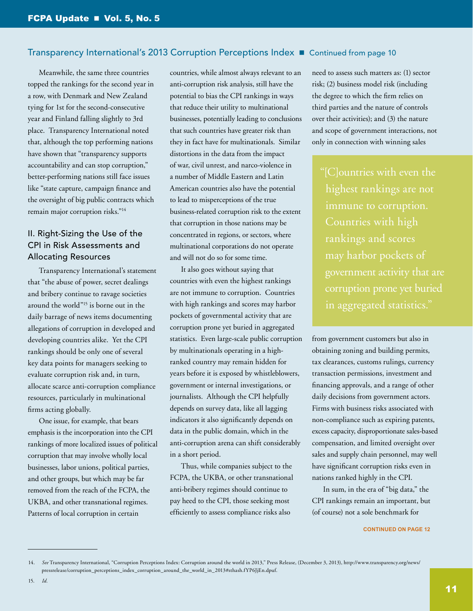Meanwhile, the same three countries topped the rankings for the second year in a row, with Denmark and New Zealand tying for 1st for the second-consecutive year and Finland falling slightly to 3rd place. Transparency International noted that, although the top performing nations have shown that "transparency supports accountability and can stop corruption," better-performing nations still face issues like "state capture, campaign finance and the oversight of big public contracts which remain major corruption risks."14

#### II. Right-Sizing the Use of the CPI in Risk Assessments and Allocating Resources

Transparency International's statement that "the abuse of power, secret dealings and bribery continue to ravage societies around the world"15 is borne out in the daily barrage of news items documenting allegations of corruption in developed and developing countries alike. Yet the CPI rankings should be only one of several key data points for managers seeking to evaluate corruption risk and, in turn, allocate scarce anti-corruption compliance resources, particularly in multinational firms acting globally.

One issue, for example, that bears emphasis is the incorporation into the CPI rankings of more localized issues of political corruption that may involve wholly local businesses, labor unions, political parties, and other groups, but which may be far removed from the reach of the FCPA, the UKBA, and other transnational regimes. Patterns of local corruption in certain

countries, while almost always relevant to an anti-corruption risk analysis, still have the potential to bias the CPI rankings in ways that reduce their utility to multinational businesses, potentially leading to conclusions that such countries have greater risk than they in fact have for multinationals. Similar distortions in the data from the impact of war, civil unrest, and narco-violence in a number of Middle Eastern and Latin American countries also have the potential to lead to misperceptions of the true business-related corruption risk to the extent that corruption in those nations may be concentrated in regions, or sectors, where multinational corporations do not operate and will not do so for some time.

It also goes without saying that countries with even the highest rankings are not immune to corruption. Countries with high rankings and scores may harbor pockets of governmental activity that are corruption prone yet buried in aggregated statistics. Even large-scale public corruption by multinationals operating in a highranked country may remain hidden for years before it is exposed by whistleblowers, government or internal investigations, or journalists. Although the CPI helpfully depends on survey data, like all lagging indicators it also significantly depends on data in the public domain, which in the anti-corruption arena can shift considerably in a short period.

Thus, while companies subject to the FCPA, the UKBA, or other transnational anti-bribery regimes should continue to pay heed to the CPI, those seeking most efficiently to assess compliance risks also

need to assess such matters as: (1) sector risk; (2) business model risk (including the degree to which the firm relies on third parties and the nature of controls over their activities); and (3) the nature and scope of government interactions, not only in connection with winning sales

"[C]ountries with even the highest rankings are not immune to corruption. Countries with high corruption prone yet buried in aggregated statistics."

from government customers but also in obtaining zoning and building permits, tax clearances, customs rulings, currency transaction permissions, investment and financing approvals, and a range of other daily decisions from government actors. Firms with business risks associated with non-compliance such as expiring patents, excess capacity, disproportionate sales-based compensation, and limited oversight over sales and supply chain personnel, may well have significant corruption risks even in nations ranked highly in the CPI.

In sum, in the era of "big data," the CPI rankings remain an important, but (of course) not a sole benchmark for

<sup>14.</sup> *See* Transparency International, "Corruption Perceptions Index: Corruption around the world in 2013," Press Release, (December 3, 2013), [http://www.transparency.org/news/](http://www.transparency.org/news/pressrelease/corruption_perceptions_index_corruption_around_the_world_in_2013%23sthash.fYP6JjEn.dpuf) [pressrelease/corruption\\_perceptions\\_index\\_corruption\\_around\\_the\\_world\\_in\\_2013#sthash.fYP6JjEn.dpuf.](http://www.transparency.org/news/pressrelease/corruption_perceptions_index_corruption_around_the_world_in_2013%23sthash.fYP6JjEn.dpuf)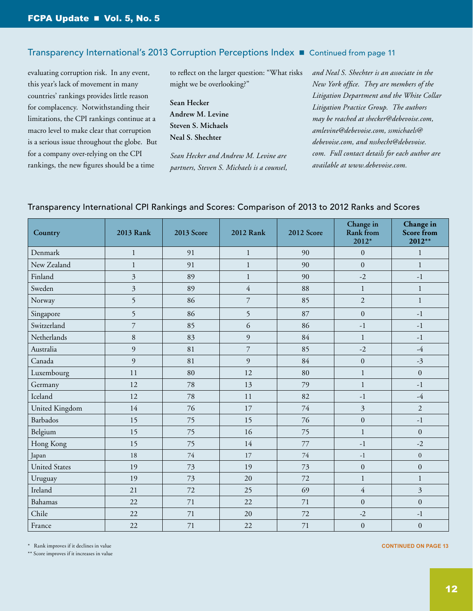evaluating corruption risk. In any event, this year's lack of movement in many countries' rankings provides little reason for complacency. Notwithstanding their limitations, the CPI rankings continue at a macro level to make clear that corruption is a serious issue throughout the globe. But for a company over-relying on the CPI rankings, the new figures should be a time

to reflect on the larger question: "What risks might we be overlooking?"

**Sean Hecker Andrew M. Levine Steven S. Michaels Neal S. Shechter**

*Sean Hecker and Andrew M. Levine are partners, Steven S. Michaels is a counsel,*  *and Neal S. Shechter is an associate in the New York office. They are members of the Litigation Department and the White Collar Litigation Practice Group. The authors may be reached at [shecker@debevoise.com,](mailto:shecker%40debevoise.com?subject=) [amlevine@debevoise.com](mailto:amlevine%40debevoise.com?subject=), [ssmichaels@](mailto:ssmichaels%40debevoise.com?subject=) [debevoise.com,](mailto:ssmichaels%40debevoise.com?subject=) and [nsshecht@debevoise.](mailto:nsshecht%40debevoise.com?subject=) [com](mailto:nsshecht%40debevoise.com?subject=). Full contact details for each author are available at<www.debevoise.com>.* 

|  |  |  | Transparency International CPI Rankings and Scores: Comparison of 2013 to 2012 Ranks and Scores |
|--|--|--|-------------------------------------------------------------------------------------------------|
|  |  |  |                                                                                                 |

| Country              | <b>2013 Rank</b> | 2013 Score | <b>2012 Rank</b> | 2012 Score | Change in<br>Rank from<br>$2012*$ | Change in<br>Score from<br>$2012**$ |
|----------------------|------------------|------------|------------------|------------|-----------------------------------|-------------------------------------|
| Denmark              | 1                | 91         | 1                | 90         | $\mathbf{0}$                      | $\mathbf{1}$                        |
| New Zealand          | $\mathbf{1}$     | 91         | 1                | 90         | $\mathbf{0}$                      | $\mathbf{1}$                        |
| Finland              | 3                | 89         | $\mathbf{1}$     | 90         | $-2$                              | $-1$                                |
| Sweden               | 3                | 89         | $\overline{4}$   | 88         | $\mathbf{1}$                      | $\mathbf{1}$                        |
| Norway               | 5                | 86         | $\overline{7}$   | 85         | $\overline{2}$                    | $\mathbf{1}$                        |
| Singapore            | 5                | 86         | 5                | 87         | $\boldsymbol{0}$                  | $-1$                                |
| Switzerland          | $\overline{7}$   | 85         | 6                | 86         | $-1$                              | $-1$                                |
| Netherlands          | 8                | 83         | 9                | 84         | $\mathbf{1}$                      | $-1$                                |
| Australia            | 9                | 81         | 7                | 85         | $-2$                              | $-4$                                |
| Canada               | 9                | 81         | 9                | 84         | $\boldsymbol{0}$                  | $-3$                                |
| Luxembourg           | 11               | 80         | 12               | 80         | $\mathbf{1}$                      | $\boldsymbol{0}$                    |
| Germany              | 12               | 78         | 13               | 79         | $\mathbf{1}$                      | $-1$                                |
| Iceland              | 12               | 78         | 11               | 82         | $-1$                              | $-4$                                |
| United Kingdom       | 14               | 76         | 17               | 74         | $\overline{3}$                    | $\overline{2}$                      |
| Barbados             | 15               | 75         | 15               | 76         | $\boldsymbol{0}$                  | $-1$                                |
| Belgium              | 15               | 75         | 16               | 75         | $\mathbf{1}$                      | $\Omega$                            |
| Hong Kong            | 15               | 75         | 14               | 77         | $-1$                              | $-2$                                |
| Japan                | 18               | 74         | 17               | 74         | $-1$                              | $\boldsymbol{0}$                    |
| <b>United States</b> | 19               | 73         | 19               | 73         | $\boldsymbol{0}$                  | $\boldsymbol{0}$                    |
| Uruguay              | 19               | 73         | 20               | 72         | $\mathbf{1}$                      | $\mathbf{1}$                        |
| Ireland              | 21               | 72         | 25               | 69         | $\overline{4}$                    | 3                                   |
| Bahamas              | 22               | 71         | 22               | 71         | $\mathbf{0}$                      | $\mathbf{0}$                        |
| Chile                | 22               | 71         | 20               | 72         | $-2$                              | $-1$                                |
| France               | 22               | 71         | 22               | 71         | $\boldsymbol{0}$                  | $\mathbf{0}$                        |

\* Rank improves if it declines in value

\*\* Score improves if it increases in value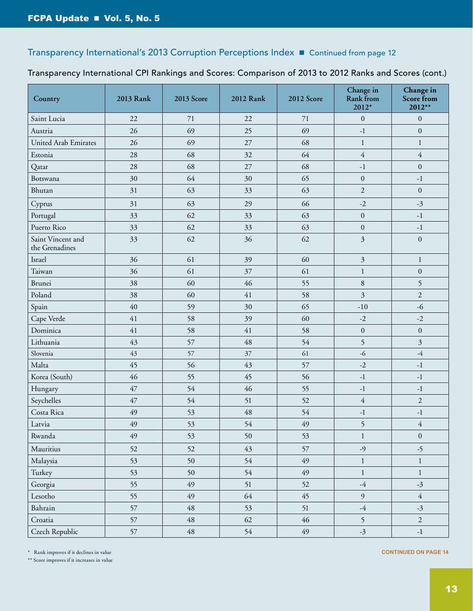#### Transparency International CPI Rankings and Scores: Comparison of 2013 to 2012 Ranks and Scores (cont.)

| Country                             | 2013 Rank | <b>2013 Score</b> | <b>2012 Rank</b> | <b>2012 Score</b> | Change in<br>Rank from<br>2012* | Change in<br><b>Score from</b><br>2012** |
|-------------------------------------|-----------|-------------------|------------------|-------------------|---------------------------------|------------------------------------------|
| Saint Lucia                         | 22        | 71                | 22               | 71                | $\boldsymbol{0}$                | $\boldsymbol{0}$                         |
| Austria                             | 26        | 69                | 25               | 69                | $\textbf{-1}$                   | $\boldsymbol{0}$                         |
| <b>United Arab Emirates</b>         | 26        | 69                | 27               | 68                | $\mathbf{1}$                    | $\mathbf{1}$                             |
| Estonia                             | 28        | 68                | 32               | 64                | $\overline{4}$                  | $\overline{4}$                           |
| Qatar                               | 28        | 68                | 27               | 68                | $-1$                            | $\overline{0}$                           |
| Botswana                            | 30        | 64                | 30               | 65                | $\overline{0}$                  | $-1$                                     |
| Bhutan                              | 31        | 63                | 33               | 63                | $\overline{2}$                  | $\boldsymbol{0}$                         |
| Cyprus                              | 31        | 63                | 29               | 66                | $-2$                            | $-3$                                     |
| Portugal                            | 33        | 62                | 33               | 63                | $\mathbf{0}$                    | $-1$                                     |
| Puerto Rico                         | 33        | 62                | 33               | 63                | $\boldsymbol{0}$                | $-1$                                     |
| Saint Vincent and<br>the Grenadines | 33        | 62                | 36               | 62                | $\mathfrak{Z}$                  | $\boldsymbol{0}$                         |
| Israel                              | 36        | 61                | 39               | 60                | $\mathfrak{Z}$                  | $\mathbf{1}$                             |
| Taiwan                              | 36        | 61                | 37               | 61                | $\mathbf{1}$                    | $\boldsymbol{0}$                         |
| Brunei                              | 38        | 60                | 46               | 55                | $\,8\,$                         | 5                                        |
| Poland                              | 38        | 60                | 41               | 58                | 3                               | $\mathfrak{2}$                           |
| Spain                               | 40        | 59                | 30               | 65                | $-10$                           | $-6$                                     |
| Cape Verde                          | 41        | 58                | 39               | 60                | $-2$                            | $-2$                                     |
| Dominica                            | 41        | 58                | 41               | 58                | $\boldsymbol{0}$                | $\boldsymbol{0}$                         |
| Lithuania                           | 43        | 57                | 48               | 54                | 5                               | 3                                        |
| Slovenia                            | 43        | 57                | 37               | 61                | $-6$                            | $-4$                                     |
| Malta                               | 45        | 56                | 43               | 57                | $-2$                            | $-1$                                     |
| Korea (South)                       | 46        | 55                | 45               | 56                | $\textbf{-1}$                   | $-1$                                     |
| Hungary                             | 47        | 54                | 46               | 55                | $\textbf{-1}$                   | $\textnormal{-}1$                        |
| Seychelles                          | 47        | 54                | 51               | 52                | $\overline{4}$                  | 2                                        |
| Costa Rica                          | 49        | 53                | 48               | 54                | $-1$                            | $\textnormal{-}1$                        |
| Latvia                              | 49        | 53                | 54               | 49                | 5                               | $\overline{4}$                           |
| Rwanda                              | 49        | 53                | 50               | 53                | $\mathbf{1}$                    | $\boldsymbol{0}$                         |
| Mauritius                           | 52        | 52                | 43               | 57                | $-9$                            | $-5$                                     |
| Malaysia                            | 53        | 50                | 54               | 49                | $\mathbf{1}$                    | $\mathbf{1}$                             |
| Turkey                              | 53        | 50                | 54               | 49                | $\mathbf{1}$                    | $\mathbf{1}$                             |
| Georgia                             | 55        | 49                | 51               | 52                | $-4$                            | $-3$                                     |
| Lesotho                             | 55        | 49                | 64               | 45                | 9                               | $\overline{4}$                           |
| Bahrain                             | 57        | $\sqrt{48}$       | 53               | 51                | $-4$                            | $-3$                                     |
| Croatia                             | 57        | $\sqrt{48}$       | 62               | $46\,$            | 5                               | $\overline{2}$                           |
| Czech Republic                      | 57        | $\sqrt{48}$       | 54               | $49\,$            | $-3$                            | $\textnormal{-}1$                        |

\* Rank improves if it declines in value

\*\* Score improves if it increases in value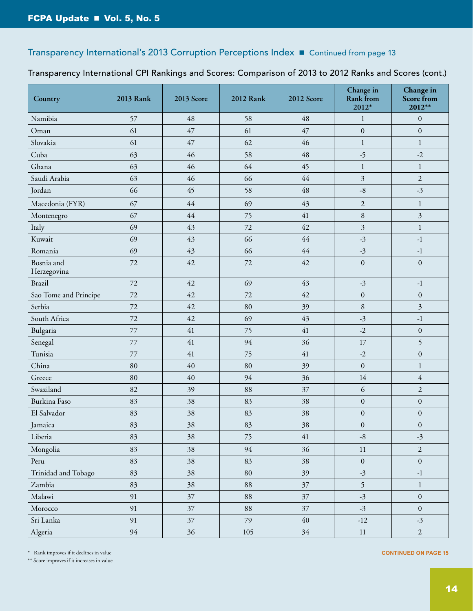#### Transparency International CPI Rankings and Scores: Comparison of 2013 to 2012 Ranks and Scores (cont.)

| Country                   | 2013 Rank | <b>2013 Score</b> | 2012 Rank | 2012 Score | Change in<br><b>Rank</b> from<br>2012* | Change in<br><b>Score from</b><br>$2012**$ |
|---------------------------|-----------|-------------------|-----------|------------|----------------------------------------|--------------------------------------------|
| Namibia                   | 57        | 48                | 58        | 48         | $\mathbf{1}$                           | $\boldsymbol{0}$                           |
| Oman                      | 61        | 47                | 61        | 47         | $\boldsymbol{0}$                       | $\boldsymbol{0}$                           |
| Slovakia                  | 61        | 47                | 62        | 46         | $\mathbf{1}$                           | $\mathbf{1}$                               |
| Cuba                      | 63        | 46                | 58        | 48         | $-5$                                   | $-2$                                       |
| Ghana                     | 63        | 46                | 64        | 45         | $\mathbf{1}$                           | $\mathbf{1}$                               |
| Saudi Arabia              | 63        | 46                | 66        | 44         | 3                                      | $\overline{2}$                             |
| Jordan                    | 66        | 45                | 58        | 48         | $\text{-}8$                            | $-3$                                       |
| Macedonia (FYR)           | 67        | $44$              | 69        | 43         | $\overline{2}$                         | $\mathbf{1}$                               |
| Montenegro                | 67        | 44                | 75        | 41         | $\,8\,$                                | 3                                          |
| Italy                     | 69        | 43                | 72        | 42         | 3                                      | $\mathbf{1}$                               |
| Kuwait                    | 69        | 43                | 66        | $44$       | $-3$                                   | $\textbf{-1}$                              |
| Romania                   | 69        | 43                | 66        | $44$       | $-3$                                   | $\textnormal{-}1$                          |
| Bosnia and<br>Herzegovina | 72        | 42                | 72        | 42         | $\boldsymbol{0}$                       | $\boldsymbol{0}$                           |
| <b>Brazil</b>             | 72        | 42                | 69        | 43         | $-3$                                   | $\textbf{-1}$                              |
| Sao Tome and Principe     | 72        | 42                | 72        | 42         | $\boldsymbol{0}$                       | $\boldsymbol{0}$                           |
| Serbia                    | 72        | 42                | 80        | 39         | $\,8\,$                                | $\mathfrak{Z}$                             |
| South Africa              | 72        | 42                | 69        | 43         | $-3$                                   | $\textnormal{-}1$                          |
| Bulgaria                  | 77        | 41                | 75        | 41         | $-2$                                   | $\boldsymbol{0}$                           |
| Senegal                   | 77        | 41                | 94        | 36         | 17                                     | 5                                          |
| Tunisia                   | 77        | 41                | 75        | 41         | $-2$                                   | $\boldsymbol{0}$                           |
| China                     | 80        | 40                | 80        | 39         | $\boldsymbol{0}$                       | $\mathbf{1}$                               |
| Greece                    | 80        | 40                | 94        | 36         | 14                                     | $\overline{4}$                             |
| Swaziland                 | 82        | 39                | 88        | 37         | 6                                      | $\overline{2}$                             |
| Burkina Faso              | 83        | 38                | 83        | 38         | $\boldsymbol{0}$                       | $\boldsymbol{0}$                           |
| El Salvador               | 83        | 38                | 83        | 38         | $\boldsymbol{0}$                       | $\boldsymbol{0}$                           |
| Jamaica                   | 83        | 38                | 83        | 38         | $\boldsymbol{0}$                       | $\boldsymbol{0}$                           |
| Liberia                   | 83        | 38                | 75        | 41         | $\text{-}8$                            | $-3$                                       |
| Mongolia                  | 83        | 38                | 94        | 36         | $11\,$                                 | 2                                          |
| Peru                      | 83        | 38                | 83        | 38         | $\boldsymbol{0}$                       | $\boldsymbol{0}$                           |
| Trinidad and Tobago       | 83        | 38                | 80        | 39         | $-3$                                   | $\textbf{-1}$                              |
| Zambia                    | 83        | 38                | 88        | 37         | 5                                      | $\,1$                                      |
| Malawi                    | 91        | 37                | 88        | 37         | $-3$                                   | $\boldsymbol{0}$                           |
| Morocco                   | 91        | 37                | 88        | $37\,$     | $-3$                                   | $\boldsymbol{0}$                           |
| Sri Lanka                 | 91        | 37                | 79        | $40\,$     | $-12$                                  | $-3$                                       |
| Algeria                   | 94        | 36                | 105       | 34         | $11\,$                                 | $\overline{2}$                             |

\* Rank improves if it declines in value

\*\* Score improves if it increases in value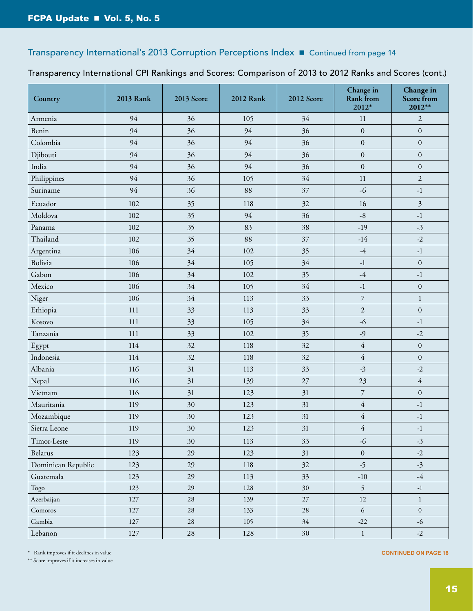#### Transparency International CPI Rankings and Scores: Comparison of 2013 to 2012 Ranks and Scores (cont.)

| Country            | 2013 Rank | 2013 Score | <b>2012 Rank</b> | 2012 Score | Change in<br>Rank from<br>2012* | Change in<br><b>Score from</b><br>2012** |
|--------------------|-----------|------------|------------------|------------|---------------------------------|------------------------------------------|
| Armenia            | 94        | 36         | 105              | 34         | 11                              | $\overline{c}$                           |
| Benin              | 94        | 36         | 94               | 36         | $\boldsymbol{0}$                | $\boldsymbol{0}$                         |
| Colombia           | 94        | 36         | 94               | 36         | $\boldsymbol{0}$                | $\boldsymbol{0}$                         |
| Djibouti           | 94        | 36         | 94               | 36         | $\boldsymbol{0}$                | $\boldsymbol{0}$                         |
| India              | 94        | 36         | 94               | 36         | $\boldsymbol{0}$                | $\boldsymbol{0}$                         |
| Philippines        | 94        | 36         | 105              | 34         | 11                              | $\overline{2}$                           |
| Suriname           | 94        | 36         | 88               | 37         | $-6$                            | $\textbf{-1}$                            |
| Ecuador            | 102       | 35         | 118              | 32         | 16                              | $\mathfrak{Z}$                           |
| Moldova            | 102       | 35         | 94               | 36         | $-8$                            | $-1$                                     |
| Panama             | 102       | 35         | 83               | 38         | $-19$                           | $-3$                                     |
| Thailand           | 102       | 35         | 88               | 37         | $-14$                           | $-2$                                     |
| Argentina          | 106       | 34         | 102              | 35         | $-4$                            | $\textnormal{-}1$                        |
| Bolivia            | 106       | 34         | 105              | 34         | $\textbf{-1}$                   | $\boldsymbol{0}$                         |
| Gabon              | 106       | 34         | 102              | 35         | $-4$                            | $-1$                                     |
| Mexico             | 106       | 34         | 105              | 34         | $\textnormal{-}1$               | $\boldsymbol{0}$                         |
| Niger              | 106       | 34         | 113              | 33         | $\overline{7}$                  | $\mathbf{1}$                             |
| Ethiopia           | 111       | 33         | 113              | 33         | $\overline{2}$                  | $\boldsymbol{0}$                         |
| Kosovo             | 111       | 33         | 105              | 34         | $-6$                            | $-1$                                     |
| Tanzania           | 111       | 33         | 102              | 35         | $-9$                            | $-2$                                     |
| Egypt              | 114       | 32         | 118              | 32         | $\overline{4}$                  | $\boldsymbol{0}$                         |
| Indonesia          | 114       | 32         | 118              | 32         | $\overline{4}$                  | $\boldsymbol{0}$                         |
| Albania            | 116       | 31         | 113              | 33         | $-3$                            | $-2$                                     |
| Nepal              | 116       | 31         | 139              | 27         | 23                              | $\overline{4}$                           |
| Vietnam            | 116       | 31         | 123              | 31         | $\overline{\mathcal{I}}$        | $\boldsymbol{0}$                         |
| Mauritania         | 119       | 30         | 123              | 31         | $\overline{4}$                  | $-1$                                     |
| Mozambique         | 119       | 30         | 123              | 31         | $\overline{4}$                  | $-1$                                     |
| Sierra Leone       | 119       | $30\,$     | 123              | 31         | $\overline{4}$                  | $\textnormal{-}1$                        |
| Timor-Leste        | 119       | 30         | 113              | 33         | $-6$                            | $-3$                                     |
| Belarus            | 123       | 29         | 123              | 31         | $\boldsymbol{0}$                | $-2$                                     |
| Dominican Republic | 123       | 29         | 118              | 32         | $-5$                            | $-3$                                     |
| Guatemala          | 123       | 29         | 113              | 33         | $-10$                           | $-4$                                     |
| Togo               | 123       | 29         | 128              | 30         | 5                               | $-1$                                     |
| Azerbaijan         | 127       | $28\,$     | 139              | $27\,$     | $12\,$                          | $\mathbf{1}$                             |
| Comoros            | 127       | $28\,$     | 133              | 28         | 6                               | $\mathbf{0}$                             |
| Gambia             | 127       | $28\,$     | 105              | 34         | $-22$                           | $-6$                                     |
| Lebanon            | 127       | 28         | 128              | 30         | $\mathbf{1}$                    | $-2$                                     |

\* Rank improves if it declines in value

\*\* Score improves if it increases in value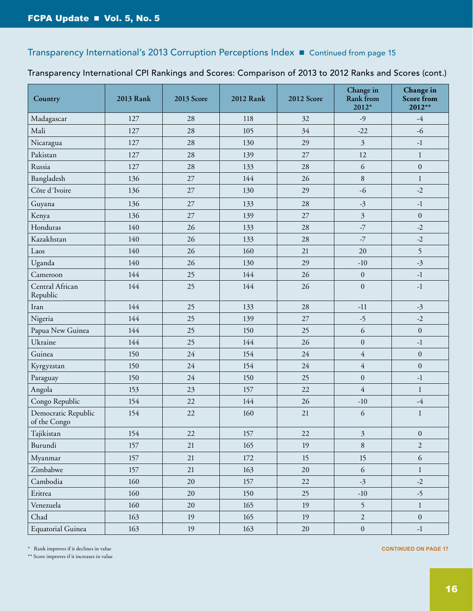#### Transparency International CPI Rankings and Scores: Comparison of 2013 to 2012 Ranks and Scores (cont.)

| Country                             | 2013 Rank | 2013 Score | <b>2012 Rank</b> | <b>2012 Score</b> | Change in<br>Rank from<br>2012* | Change in<br><b>Score from</b><br>2012** |
|-------------------------------------|-----------|------------|------------------|-------------------|---------------------------------|------------------------------------------|
| Madagascar                          | 127       | 28         | 118              | 32                | $-9$                            | $-4$                                     |
| Mali                                | 127       | 28         | 105              | 34                | $-22$                           | $-6$                                     |
| Nicaragua                           | 127       | 28         | 130              | 29                | $\mathfrak{Z}$                  | $-1$                                     |
| Pakistan                            | 127       | 28         | 139              | 27                | 12                              | $\mathbf{1}$                             |
| Russia                              | 127       | 28         | 133              | 28                | 6                               | $\boldsymbol{0}$                         |
| Bangladesh                          | 136       | 27         | 144              | 26                | 8                               | $\mathbf{1}$                             |
| Côte d'Ivoire                       | 136       | 27         | 130              | 29                | $-6$                            | $-2$                                     |
| Guyana                              | 136       | 27         | 133              | 28                | $-3$                            | $-1$                                     |
| Kenya                               | 136       | 27         | 139              | 27                | $\mathfrak{Z}$                  | $\boldsymbol{0}$                         |
| Honduras                            | 140       | 26         | 133              | 28                | $-7$                            | $-2$                                     |
| Kazakhstan                          | 140       | 26         | 133              | 28                | $-7$                            | $-2$                                     |
| Laos                                | 140       | 26         | 160              | 21                | 20                              | 5                                        |
| Uganda                              | 140       | 26         | 130              | 29                | $-10$                           | $-3$                                     |
| Cameroon                            | 144       | 25         | 144              | 26                | $\boldsymbol{0}$                | $-1$                                     |
| Central African<br>Republic         | 144       | 25         | 144              | 26                | $\boldsymbol{0}$                | $-1$                                     |
| Iran                                | 144       | 25         | 133              | 28                | $-11$                           | $-3$                                     |
| Nigeria                             | 144       | 25         | 139              | $27\,$            | $-5$                            | $-2$                                     |
| Papua New Guinea                    | 144       | 25         | 150              | 25                | 6                               | $\boldsymbol{0}$                         |
| Ukraine                             | 144       | 25         | 144              | 26                | $\boldsymbol{0}$                | $-1$                                     |
| Guinea                              | 150       | 24         | 154              | 24                | $\overline{4}$                  | $\overline{0}$                           |
| Kyrgyzstan                          | 150       | 24         | 154              | 24                | $\overline{4}$                  | $\mathbf{0}$                             |
| Paraguay                            | 150       | 24         | 150              | 25                | $\overline{0}$                  | $-1$                                     |
| Angola                              | 153       | 23         | 157              | 22                | $\overline{4}$                  | $\mathbf{1}$                             |
| Congo Republic                      | 154       | 22         | 144              | 26                | $-10$                           | $-4\,$                                   |
| Democratic Republic<br>of the Congo | 154       | 22         | 160              | 21                | 6                               | $\mathbf{1}$                             |
| Tajikistan                          | 154       | 22         | 157              | $22\,$            | $\mathfrak{Z}$                  | $\boldsymbol{0}$                         |
| Burundi                             | 157       | 21         | 165              | 19                | 8                               | $\overline{2}$                           |
| Myanmar                             | 157       | 21         | 172              | 15                | 15                              | $\sqrt{6}$                               |
| Zimbabwe                            | 157       | 21         | 163              | $20\,$            | 6                               | $\mathbf{1}$                             |
| Cambodia                            | 160       | 20         | 157              | 22                | $-3$                            | $-2$                                     |
| Eritrea                             | 160       | $20\,$     | 150              | 25                | $-10$                           | $-5$                                     |
| Venezuela                           | 160       | $20\,$     | 165              | 19                | 5                               | $\mathbf{1}$                             |
| Chad                                | 163       | 19         | 165              | 19                | $\overline{2}$                  | $\boldsymbol{0}$                         |
| Equatorial Guinea                   | 163       | 19         | 163              | 20                | $\boldsymbol{0}$                | $-1$                                     |

\* Rank improves if it declines in value

\*\* Score improves if it increases in value